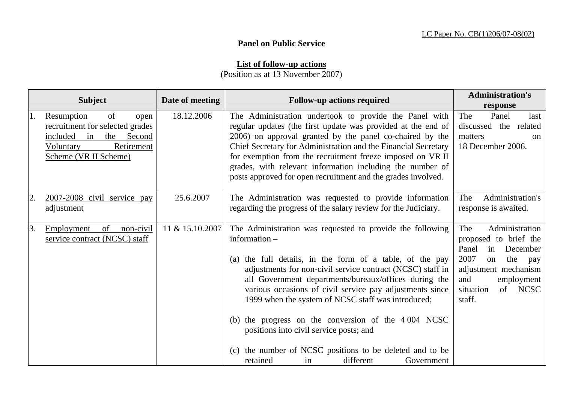## **Panel on Public Service**

## **List of follow-up actions**

(Position as at 13 November 2007)

|    | <b>Subject</b>                                                                                                                                     | Date of meeting | <b>Follow-up actions required</b>                                                                                                                                                                                                                                                                                                                                                                                                                                                                                                                                                          | <b>Administration's</b><br>response                                                                                                                                                            |
|----|----------------------------------------------------------------------------------------------------------------------------------------------------|-----------------|--------------------------------------------------------------------------------------------------------------------------------------------------------------------------------------------------------------------------------------------------------------------------------------------------------------------------------------------------------------------------------------------------------------------------------------------------------------------------------------------------------------------------------------------------------------------------------------------|------------------------------------------------------------------------------------------------------------------------------------------------------------------------------------------------|
|    | of<br>Resumption<br>open<br>recruitment for selected grades<br>included<br>in<br>the<br>Second<br>Retirement<br>Voluntary<br>Scheme (VR II Scheme) | 18.12.2006      | The Administration undertook to provide the Panel with<br>regular updates (the first update was provided at the end of<br>2006) on approval granted by the panel co-chaired by the<br>Chief Secretary for Administration and the Financial Secretary<br>for exemption from the recruitment freeze imposed on VR II<br>grades, with relevant information including the number of<br>posts approved for open recruitment and the grades involved.                                                                                                                                            | The<br>Panel<br>last<br>discussed the related<br>matters<br><sub>on</sub><br>18 December 2006.                                                                                                 |
| 2. | 2007-2008 civil service pay<br>adjustment                                                                                                          | 25.6.2007       | The Administration was requested to provide information<br>regarding the progress of the salary review for the Judiciary.                                                                                                                                                                                                                                                                                                                                                                                                                                                                  | Administration's<br>The<br>response is awaited.                                                                                                                                                |
| 3. | of<br>non-civil<br>Employment<br>service contract (NCSC) staff                                                                                     | 11 & 15.10.2007 | The Administration was requested to provide the following<br>information -<br>(a) the full details, in the form of a table, of the pay<br>adjustments for non-civil service contract (NCSC) staff in<br>all Government departments/bureaux/offices during the<br>various occasions of civil service pay adjustments since<br>1999 when the system of NCSC staff was introduced;<br>(b) the progress on the conversion of the 4004 NCSC<br>positions into civil service posts; and<br>(c) the number of NCSC positions to be deleted and to be<br>retained<br>different<br>Government<br>in | Administration<br>The<br>proposed to brief the<br>Panel<br>December<br>in<br>2007<br>the<br>on<br>pay<br>adjustment mechanism<br>and<br>employment<br><b>NCSC</b><br>situation<br>of<br>staff. |